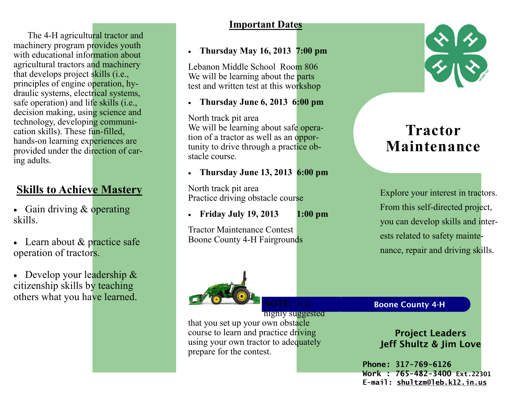The 4-H agricultural tractor and machinery program provides youth with educational information about agricultural tractors and machinery that develops project skills (i.e., principles of engine operation, hydraulic systems, electrical systems, safe operation) and life skills (i.e., decision making, using science and technology, developing communication skills). These fun-filled, hands-on learning experiences are provided under the direction of caring adults.

# **Skills to Achieve Mastery**

- Gain driving & operating skills.
- Learn about  $&$  practice safe operation of tractors.
- Develop your leadership & citizenship skills by teaching others what you have learned.

## **Important Dates**

## • **Thursday May 16, 2013 7:00 pm**

Lebanon Middle School Room 806 We will be learning about the **parts** test and written test at this workshop

• **Thursday June 6, 2013 6:00 pm**

North track pit area We will be learning about safe operation of a tractor as well as an opportunity to drive through a practice obstacle course.

• **Thursday June 13, 2013 6:00 pm** 

North track pit area Practice driving obstacle course

• **Friday July 19, 2013 1:00 pm**

highly suggested

Tractor Maintenance Contest Boone County 4-H Fairgrounds





prepare for the contest.



that you set up your own obstacle course to learn and practice driving using your own tractor to adequately



 $\frac{1}{2}$ 

# **Tractor Maintenance**

Explore your interest in tractors. From this self-directed project, you can develop skills and interests related to safety maintenance, repair and driving skills.

Boone County 4-H

Project Leaders Jeff Shultz & Jim Love

**Phone: 317-769-6126 Work : 765-482-3400 Ext.22301 E-mail: shultzm@leb.k12.in.us**